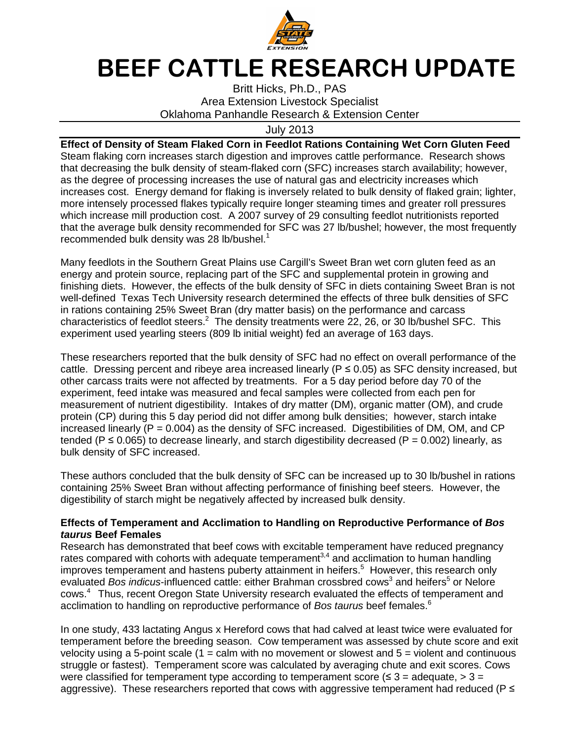

## **BEEF CATTLE RESEARCH UPDATE**

Britt Hicks, Ph.D., PAS Area Extension Livestock Specialist Oklahoma Panhandle Research & Extension Center

July 2013

**Effect of Density of Steam Flaked Corn in Feedlot Rations Containing Wet Corn Gluten Feed**  Steam flaking corn increases starch digestion and improves cattle performance. Research shows that decreasing the bulk density of steam-flaked corn (SFC) increases starch availability; however, as the degree of processing increases the use of natural gas and electricity increases which increases cost. Energy demand for flaking is inversely related to bulk density of flaked grain; lighter, more intensely processed flakes typically require longer steaming times and greater roll pressures which increase mill production cost. A 2007 survey of 29 consulting feedlot nutritionists reported that the average bulk density recommended for SFC was 27 lb/bushel; however, the most frequently recommended bulk density was 28 lb/bushel. $1$ 

Many feedlots in the Southern Great Plains use Cargill's Sweet Bran wet corn gluten feed as an energy and protein source, replacing part of the SFC and supplemental protein in growing and finishing diets. However, the effects of the bulk density of SFC in diets containing Sweet Bran is not well-defined Texas Tech University research determined the effects of three bulk densities of SFC in rations containing 25% Sweet Bran (dry matter basis) on the performance and carcass characteristics of feedlot steers.<sup>2</sup> The density treatments were 22, 26, or 30 lb/bushel SFC. This experiment used yearling steers (809 lb initial weight) fed an average of 163 days.

These researchers reported that the bulk density of SFC had no effect on overall performance of the cattle. Dressing percent and ribeye area increased linearly ( $P \le 0.05$ ) as SFC density increased, but other carcass traits were not affected by treatments. For a 5 day period before day 70 of the experiment, feed intake was measured and fecal samples were collected from each pen for measurement of nutrient digestibility. Intakes of dry matter (DM), organic matter (OM), and crude protein (CP) during this 5 day period did not differ among bulk densities; however, starch intake increased linearly ( $P = 0.004$ ) as the density of SFC increased. Digestibilities of DM, OM, and CP tended (P  $\leq$  0.065) to decrease linearly, and starch digestibility decreased (P = 0.002) linearly, as bulk density of SFC increased.

These authors concluded that the bulk density of SFC can be increased up to 30 lb/bushel in rations containing 25% Sweet Bran without affecting performance of finishing beef steers. However, the digestibility of starch might be negatively affected by increased bulk density.

## **Effects of Temperament and Acclimation to Handling on Reproductive Performance of Bos taurus Beef Females**

Research has demonstrated that beef cows with excitable temperament have reduced pregnancy rates compared with cohorts with adequate temperament<sup>3,4</sup> and acclimation to human handling improves temperament and hastens puberty attainment in heifers.<sup>5</sup> However, this research only evaluated Bos indicus-influenced cattle: either Brahman crossbred cows<sup>3</sup> and heifers<sup>5</sup> or Nelore cows.<sup>4</sup> Thus, recent Oregon State University research evaluated the effects of temperament and acclimation to handling on reproductive performance of Bos taurus beef females.<sup>6</sup>

In one study, 433 lactating Angus x Hereford cows that had calved at least twice were evaluated for temperament before the breeding season. Cow temperament was assessed by chute score and exit velocity using a 5-point scale (1 = calm with no movement or slowest and  $5$  = violent and continuous struggle or fastest). Temperament score was calculated by averaging chute and exit scores. Cows were classified for temperament type according to temperament score ( $\leq$  3 = adequate,  $>$  3 = aggressive). These researchers reported that cows with aggressive temperament had reduced ( $P \leq$